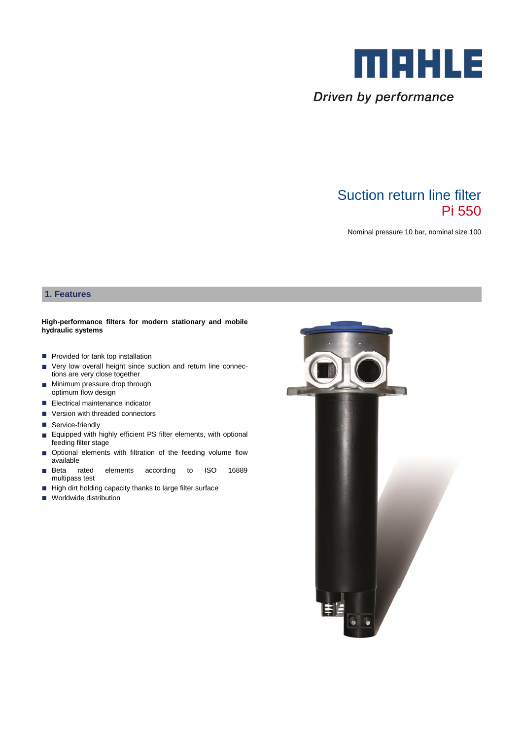

Driven by performance

# Suction return line filter Pi 550

Nominal pressure 10 bar, nominal size 100

## **1. Features**

#### **High-performance filters for modern stationary and mobile hydraulic systems**

- **Provided for tank top installation**
- Very low overall height since suction and return line connections are very close together
- **Minimum pressure drop through** optimum flow design
- Electrical maintenance indicator
- Version with threaded connectors
- Service-friendly
- **Equipped with highly efficient PS filter elements, with optional** feeding filter stage
- $\Box$  Optional elements with filtration of the feeding volume flow available
- Beta rated elements according to ISO 16889 multipass test
- $\blacksquare$  High dirt holding capacity thanks to large filter surface
- **Worldwide distribution**

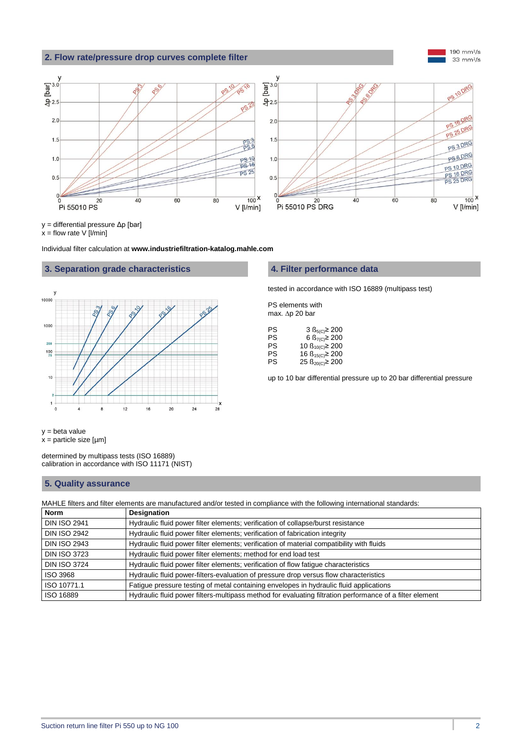## **2. Flow rate/pressure drop curves complete filter**



y = differential pressure Δp [bar]

 $x =$  flow rate  $V$  [*l*/min]

Individual filter calculation at **www.industriefiltration-katalog.mahle.com**

### **3. Separation grade characteristics 4. Filter performance data**



#### $y = \text{beta value}$  $x =$  particle size  $[µm]$

determined by multipass tests (ISO 16889) calibration in accordance with ISO 11171 (NIST)

## **5. Quality assurance**

MAHLE filters and filter elements are manufactured and/or tested in compliance with the following international standards:

| <b>Norm</b>         | <b>Designation</b>                                                                                       |  |  |
|---------------------|----------------------------------------------------------------------------------------------------------|--|--|
| <b>DIN ISO 2941</b> | Hydraulic fluid power filter elements; verification of collapse/burst resistance                         |  |  |
| <b>DIN ISO 2942</b> | Hydraulic fluid power filter elements; verification of fabrication integrity                             |  |  |
| <b>DIN ISO 2943</b> | Hydraulic fluid power filter elements; verification of material compatibility with fluids                |  |  |
| <b>DIN ISO 3723</b> | Hydraulic fluid power filter elements; method for end load test                                          |  |  |
| <b>DIN ISO 3724</b> | Hydraulic fluid power filter elements; verification of flow fatigue characteristics                      |  |  |
| ISO 3968            | Hydraulic fluid power-filters-evaluation of pressure drop versus flow characteristics                    |  |  |
| ISO 10771.1         | Fatigue pressure testing of metal containing envelopes in hydraulic fluid applications                   |  |  |
| ISO 16889           | Hydraulic fluid power filters-multipass method for evaluating filtration performance of a filter element |  |  |

tested in accordance with ISO 16889 (multipass test)

PS elements with max.  $\Delta p$  20 bar

| 3 $\text{B}_{5(C)}$ ≥ 200        |
|----------------------------------|
| 6 $\text{B}_{7\text{(C)}}$ ≥ 200 |
| 10 $\beta_{10(C)}$ ≥ 200         |
| 16 $\beta_{15(C)}$ ≥ 200         |
| 25 $\beta_{20(C)}$ ≥ 200         |
|                                  |

up to 10 bar differential pressure up to 20 bar differential pressure

190 mm $^{2}/s$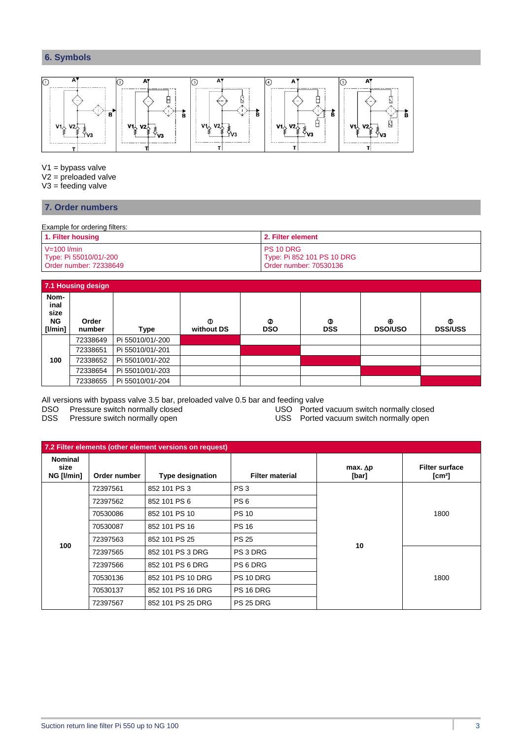## **6. Symbols**



V1 = bypass valve

V2 = preloaded valve

 $V3 =$  feeding valve

## **7. Order numbers**

Example for ordering filters:

| 1. Filter housing      | 2. Filter element          |  |
|------------------------|----------------------------|--|
| $V=100$ $l/min$        | PS 10 DRG                  |  |
| Type: Pi 55010/01/-200 | Type: Pi 852 101 PS 10 DRG |  |
| Order number: 72338649 | Order number: 70530136     |  |

| 7.1 Housing design                     |                 |                  |                      |                 |                 |                     |                     |
|----------------------------------------|-----------------|------------------|----------------------|-----------------|-----------------|---------------------|---------------------|
| Nom-<br>inal<br>size<br>NG.<br>[1/min] | Order<br>number | Type             | $\Phi$<br>without DS | ⊘<br><b>DSO</b> | จ<br><b>DSS</b> | ⊛<br><b>DSO/USO</b> | ⊙<br><b>DSS/USS</b> |
|                                        | 72338649        | Pi 55010/01/-200 |                      |                 |                 |                     |                     |
|                                        | 72338651        | Pi 55010/01/-201 |                      |                 |                 |                     |                     |
| 100                                    | 72338652        | Pi 55010/01/-202 |                      |                 |                 |                     |                     |
|                                        | 72338654        | Pi 55010/01/-203 |                      |                 |                 |                     |                     |
|                                        | 72338655        | Pi 55010/01/-204 |                      |                 |                 |                     |                     |

All versions with bypass valve 3.5 bar, preloaded valve 0.5 bar and feeding valve

DSO Pressure switch normally closed USO Ported vacuum switch normally closed

DSS Pressure switch normally open **Network COSS** Ported vacuum switch normally open

| 7.2 Filter elements (other element versions on request) |              |                         |                        |                            |                                             |
|---------------------------------------------------------|--------------|-------------------------|------------------------|----------------------------|---------------------------------------------|
| <b>Nominal</b><br>size<br>NG [I/min]                    | Order number | <b>Type designation</b> | <b>Filter material</b> | $max.$ $\Delta p$<br>[bar] | <b>Filter surface</b><br>[cm <sup>2</sup> ] |
|                                                         | 72397561     | 852 101 PS 3            | PS <sub>3</sub>        |                            |                                             |
|                                                         | 72397562     | 852 101 PS 6            | PS <sub>6</sub>        |                            |                                             |
|                                                         | 70530086     | 852 101 PS 10           | <b>PS 10</b>           | 10                         | 1800                                        |
|                                                         | 70530087     | 852 101 PS 16           | <b>PS 16</b>           |                            |                                             |
| 100                                                     | 72397563     | 852 101 PS 25           | <b>PS 25</b>           |                            |                                             |
|                                                         | 72397565     | 852 101 PS 3 DRG        | PS 3 DRG               |                            |                                             |
|                                                         | 72397566     | 852 101 PS 6 DRG        | PS 6 DRG               |                            |                                             |
|                                                         | 70530136     | 852 101 PS 10 DRG       | PS 10 DRG              |                            | 1800                                        |
|                                                         | 70530137     | 852 101 PS 16 DRG       | PS 16 DRG              |                            |                                             |
|                                                         | 72397567     | 852 101 PS 25 DRG       | PS 25 DRG              |                            |                                             |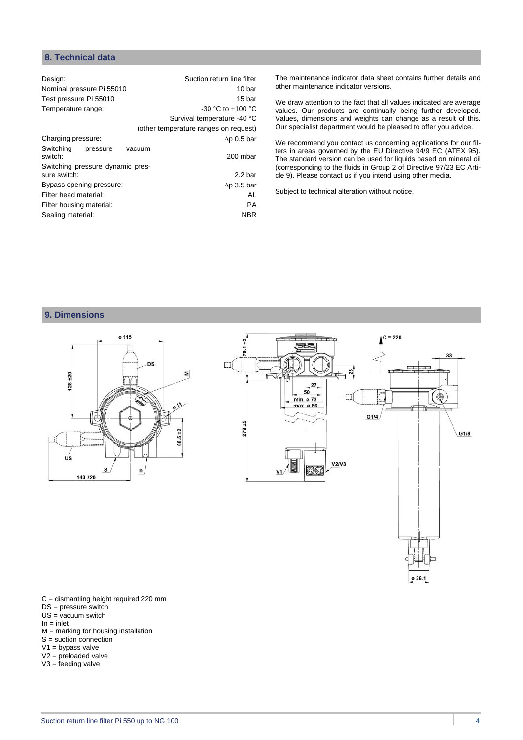## **8. Technical data**

| Design:                          | Suction return line filter            |
|----------------------------------|---------------------------------------|
| Nominal pressure Pi 55010        | 10 bar                                |
| Test pressure Pi 55010           | 15 bar                                |
| Temperature range:               | $-30$ °C to $+100$ °C                 |
|                                  | Survival temperature -40 °C           |
|                                  | (other temperature ranges on request) |
| Charging pressure:               | $\Delta p$ 0.5 bar                    |
| Switching<br>pressure<br>switch: | vacuum<br>200 mbar                    |
| Switching pressure dynamic pres- |                                       |
| sure switch:                     | 2.2 <sub>bar</sub>                    |
| Bypass opening pressure:         | $\Delta p$ 3.5 bar                    |
| Filter head material:            | AL                                    |
| Filter housing material:         | PA                                    |
| Sealing material:                | <b>NBR</b>                            |
|                                  |                                       |

The maintenance indicator data sheet contains further details and other maintenance indicator versions.

We draw attention to the fact that all values indicated are average values. Our products are continually being further developed. Values, dimensions and weights can change as a result of this. Our specialist department would be pleased to offer you advice.

We recommend you contact us concerning applications for our filters in areas governed by the EU Directive 94/9 EC (ATEX 95). The standard version can be used for liquids based on mineral oil (corresponding to the fluids in Group 2 of Directive 97/23 EC Article 9). Please contact us if you intend using other media.

Subject to technical alteration without notice.

## **9. Dimensions**



C = dismantling height required 220 mm DS = pressure switch

- $US = vacuum$  switch
- $In = *inlet*$
- $M =$  marking for housing installation
- $S =$  suction connection
- $V1$  = bypass valve
- V2 = preloaded valve  $V3 = \text{feeding value}$
- 

ø 36.1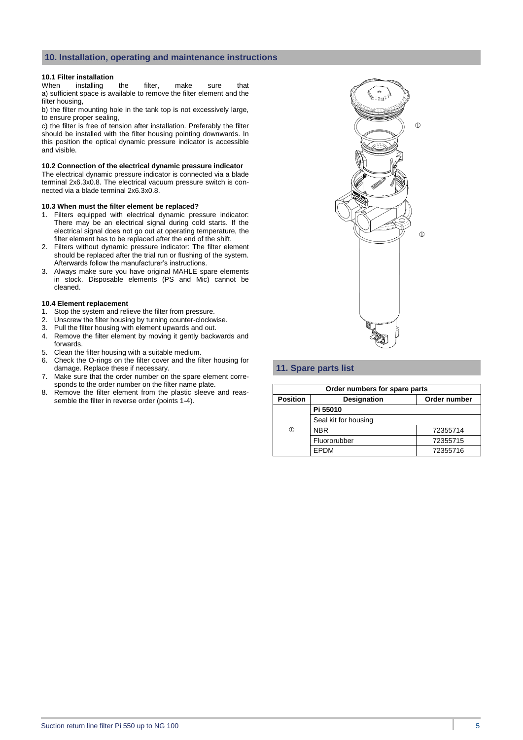#### **10. Installation, operating and maintenance instructions**

#### **10.1 Filter installation**

When installing the filter, make sure that a) sufficient space is available to remove the filter element and the filter housing,

b) the filter mounting hole in the tank top is not excessively large, to ensure proper sealing,

c) the filter is free of tension after installation. Preferably the filter should be installed with the filter housing pointing downwards. In this position the optical dynamic pressure indicator is accessible and visible.

#### **10.2 Connection of the electrical dynamic pressure indicator**

The electrical dynamic pressure indicator is connected via a blade terminal 2x6.3x0.8. The electrical vacuum pressure switch is connected via a blade terminal 2x6.3x0.8.

#### **10.3 When must the filter element be replaced?**

- 1. Filters equipped with electrical dynamic pressure indicator: There may be an electrical signal during cold starts. If the electrical signal does not go out at operating temperature, the filter element has to be replaced after the end of the shift.
- 2. Filters without dynamic pressure indicator: The filter element should be replaced after the trial run or flushing of the system. Afterwards follow the manufacturer's instructions.
- 3. Always make sure you have original MAHLE spare elements in stock. Disposable elements (PS and Mic) cannot be cleaned.

#### **10.4 Element replacement**

- 1. Stop the system and relieve the filter from pressure.
- 2. Unscrew the filter housing by turning counter-clockwise.
- 3. Pull the filter housing with element upwards and out.
- 4. Remove the filter element by moving it gently backwards and forwards.
- 5. Clean the filter housing with a suitable medium.
- 6. Check the O-rings on the filter cover and the filter housing for damage. Replace these if necessary.
- 7. Make sure that the order number on the spare element corresponds to the order number on the filter name plate.
- 8. Remove the filter element from the plastic sleeve and reassemble the filter in reverse order (points 1-4).



## **11. Spare parts list**

| Order numbers for spare parts |                                    |          |  |  |
|-------------------------------|------------------------------------|----------|--|--|
| <b>Position</b>               | Order number<br><b>Designation</b> |          |  |  |
|                               | Pi 55010                           |          |  |  |
|                               | Seal kit for housing               |          |  |  |
| (T)                           | <b>NBR</b>                         | 72355714 |  |  |
|                               | Fluororubber                       | 72355715 |  |  |
|                               | <b>EPDM</b>                        | 72355716 |  |  |